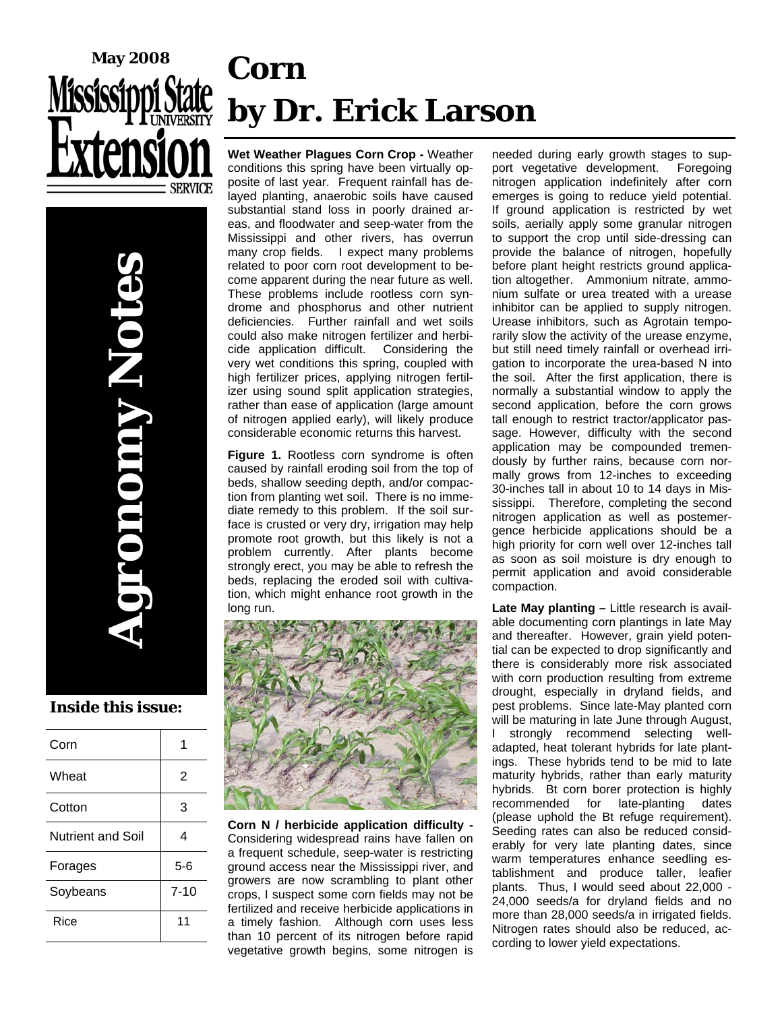

**Agronomy Notes** 

**TANUIO** 

# **Corn by Dr. Erick Larson**

**Wet Weather Plagues Corn Crop -** Weather conditions this spring have been virtually opposite of last year. Frequent rainfall has delayed planting, anaerobic soils have caused substantial stand loss in poorly drained areas, and floodwater and seep-water from the Mississippi and other rivers, has overrun many crop fields. I expect many problems related to poor corn root development to become apparent during the near future as well. These problems include rootless corn syndrome and phosphorus and other nutrient deficiencies. Further rainfall and wet soils could also make nitrogen fertilizer and herbicide application difficult. Considering the very wet conditions this spring, coupled with high fertilizer prices, applying nitrogen fertilizer using sound split application strategies, rather than ease of application (large amount of nitrogen applied early), will likely produce considerable economic returns this harvest.

**Figure 1.** Rootless corn syndrome is often caused by rainfall eroding soil from the top of beds, shallow seeding depth, and/or compaction from planting wet soil. There is no immediate remedy to this problem. If the soil surface is crusted or very dry, irrigation may help promote root growth, but this likely is not a problem currently. After plants become strongly erect, you may be able to refresh the beds, replacing the eroded soil with cultivation, which might enhance root growth in the long run.



**Corn N / herbicide application difficulty -** Considering widespread rains have fallen on a frequent schedule, seep-water is restricting ground access near the Mississippi river, and growers are now scrambling to plant other crops, I suspect some corn fields may not be fertilized and receive herbicide applications in a timely fashion. Although corn uses less than 10 percent of its nitrogen before rapid vegetative growth begins, some nitrogen is

needed during early growth stages to support vegetative development. Foregoing nitrogen application indefinitely after corn emerges is going to reduce yield potential. If ground application is restricted by wet soils, aerially apply some granular nitrogen to support the crop until side-dressing can provide the balance of nitrogen, hopefully before plant height restricts ground application altogether. Ammonium nitrate, ammonium sulfate or urea treated with a urease inhibitor can be applied to supply nitrogen. Urease inhibitors, such as Agrotain temporarily slow the activity of the urease enzyme, but still need timely rainfall or overhead irrigation to incorporate the urea-based N into the soil. After the first application, there is normally a substantial window to apply the second application, before the corn grows tall enough to restrict tractor/applicator passage. However, difficulty with the second application may be compounded tremendously by further rains, because corn normally grows from 12-inches to exceeding 30-inches tall in about 10 to 14 days in Mississippi. Therefore, completing the second nitrogen application as well as postemergence herbicide applications should be a high priority for corn well over 12-inches tall as soon as soil moisture is dry enough to permit application and avoid considerable compaction.

**Late May planting –** Little research is available documenting corn plantings in late May and thereafter. However, grain yield potential can be expected to drop significantly and there is considerably more risk associated with corn production resulting from extreme drought, especially in dryland fields, and pest problems. Since late-May planted corn will be maturing in late June through August, I strongly recommend selecting welladapted, heat tolerant hybrids for late plantings. These hybrids tend to be mid to late maturity hybrids, rather than early maturity hybrids. Bt corn borer protection is highly recommended for late-planting dates (please uphold the Bt refuge requirement). Seeding rates can also be reduced considerably for very late planting dates, since warm temperatures enhance seedling establishment and produce taller, leafier plants. Thus, I would seed about 22,000 - 24,000 seeds/a for dryland fields and no more than 28,000 seeds/a in irrigated fields. Nitrogen rates should also be reduced, according to lower yield expectations.

**Inside this issue:** 

| Corn              |          |
|-------------------|----------|
| Wheat             | 2        |
| Cotton            | 3        |
| Nutrient and Soil | 4        |
| Forages           | 5-6      |
| Soybeans          | $7 - 10$ |
| Rice              | 11       |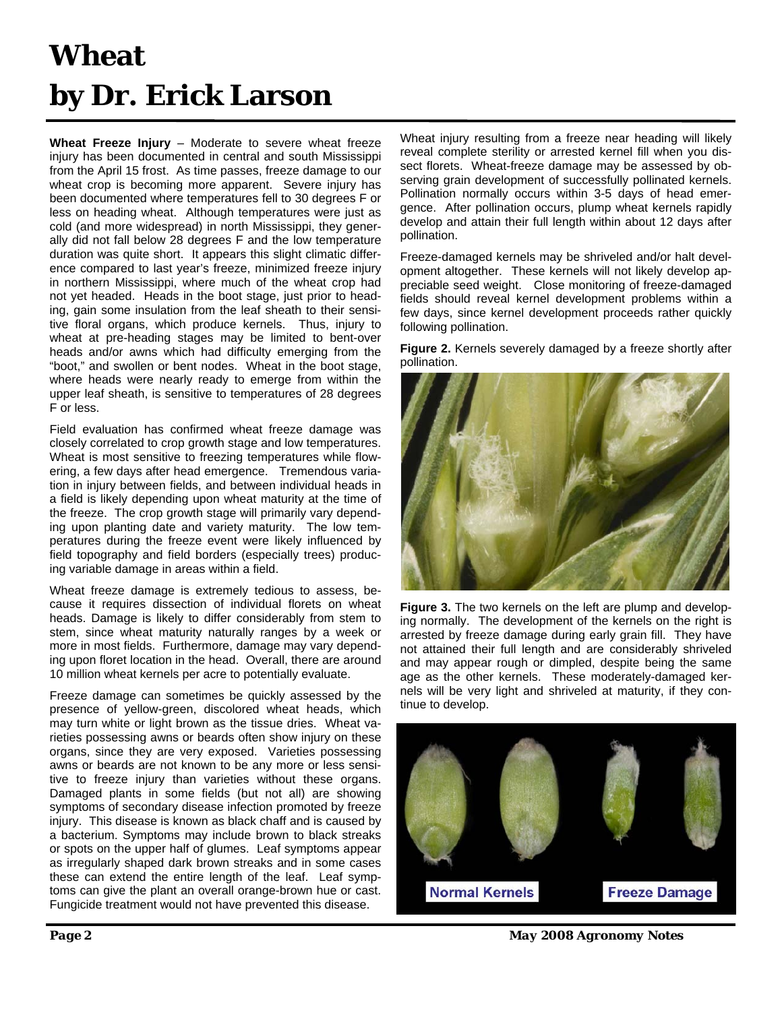### **Wheat by Dr. Erick Larson**

**Wheat Freeze Injury** – Moderate to severe wheat freeze injury has been documented in central and south Mississippi from the April 15 frost. As time passes, freeze damage to our wheat crop is becoming more apparent. Severe injury has been documented where temperatures fell to 30 degrees F or less on heading wheat. Although temperatures were just as cold (and more widespread) in north Mississippi, they generally did not fall below 28 degrees F and the low temperature duration was quite short. It appears this slight climatic difference compared to last year's freeze, minimized freeze injury in northern Mississippi, where much of the wheat crop had not yet headed. Heads in the boot stage, just prior to heading, gain some insulation from the leaf sheath to their sensitive floral organs, which produce kernels. Thus, injury to wheat at pre-heading stages may be limited to bent-over heads and/or awns which had difficulty emerging from the "boot," and swollen or bent nodes. Wheat in the boot stage, where heads were nearly ready to emerge from within the upper leaf sheath, is sensitive to temperatures of 28 degrees F or less.

Field evaluation has confirmed wheat freeze damage was closely correlated to crop growth stage and low temperatures. Wheat is most sensitive to freezing temperatures while flowering, a few days after head emergence. Tremendous variation in injury between fields, and between individual heads in a field is likely depending upon wheat maturity at the time of the freeze. The crop growth stage will primarily vary depending upon planting date and variety maturity. The low temperatures during the freeze event were likely influenced by field topography and field borders (especially trees) producing variable damage in areas within a field.

Wheat freeze damage is extremely tedious to assess, because it requires dissection of individual florets on wheat heads. Damage is likely to differ considerably from stem to stem, since wheat maturity naturally ranges by a week or more in most fields. Furthermore, damage may vary depending upon floret location in the head. Overall, there are around 10 million wheat kernels per acre to potentially evaluate.

Freeze damage can sometimes be quickly assessed by the presence of yellow-green, discolored wheat heads, which may turn white or light brown as the tissue dries. Wheat varieties possessing awns or beards often show injury on these organs, since they are very exposed. Varieties possessing awns or beards are not known to be any more or less sensitive to freeze injury than varieties without these organs. Damaged plants in some fields (but not all) are showing symptoms of secondary disease infection promoted by freeze injury. This disease is known as black chaff and is caused by a bacterium. Symptoms may include brown to black streaks or spots on the upper half of glumes. Leaf symptoms appear as irregularly shaped dark brown streaks and in some cases these can extend the entire length of the leaf. Leaf symptoms can give the plant an overall orange-brown hue or cast. Fungicide treatment would not have prevented this disease.

Wheat injury resulting from a freeze near heading will likely reveal complete sterility or arrested kernel fill when you dissect florets. Wheat-freeze damage may be assessed by observing grain development of successfully pollinated kernels. Pollination normally occurs within 3-5 days of head emergence. After pollination occurs, plump wheat kernels rapidly develop and attain their full length within about 12 days after pollination.

Freeze-damaged kernels may be shriveled and/or halt development altogether. These kernels will not likely develop appreciable seed weight. Close monitoring of freeze-damaged fields should reveal kernel development problems within a few days, since kernel development proceeds rather quickly following pollination.

**Figure 2.** Kernels severely damaged by a freeze shortly after pollination.



**Figure 3.** The two kernels on the left are plump and developing normally. The development of the kernels on the right is arrested by freeze damage during early grain fill. They have not attained their full length and are considerably shriveled and may appear rough or dimpled, despite being the same age as the other kernels. These moderately-damaged kernels will be very light and shriveled at maturity, if they continue to develop.



*Page 2 May 2008 Agronomy Notes*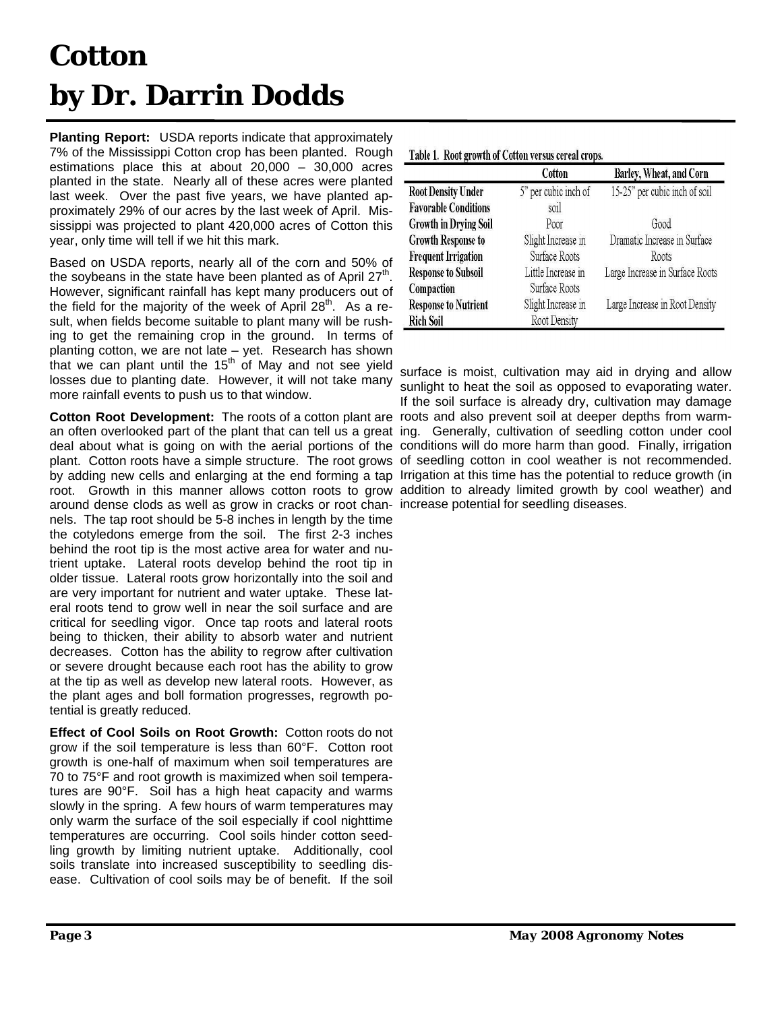## **Cotton by Dr. Darrin Dodds**

**Planting Report:** USDA reports indicate that approximately 7% of the Mississippi Cotton crop has been planted. Rough estimations place this at about 20,000 – 30,000 acres planted in the state. Nearly all of these acres were planted last week. Over the past five years, we have planted approximately 29% of our acres by the last week of April. Mississippi was projected to plant 420,000 acres of Cotton this year, only time will tell if we hit this mark.

Based on USDA reports, nearly all of the corn and 50% of the soybeans in the state have been planted as of April  $27<sup>th</sup>$ . However, significant rainfall has kept many producers out of the field for the majority of the week of April  $28<sup>m</sup>$ . As a result, when fields become suitable to plant many will be rushing to get the remaining crop in the ground. In terms of planting cotton, we are not late – yet. Research has shown that we can plant until the  $15<sup>th</sup>$  of May and not see yield losses due to planting date. However, it will not take many more rainfall events to push us to that window.

Cotton Root Development: The roots of a cotton plant are roots and also prevent soil at deeper depths from warman often overlooked part of the plant that can tell us a great ing. Generally, cultivation of seedling cotton under cool deal about what is going on with the aerial portions of the conditions will do more harm than good. Finally, irrigation plant. Cotton roots have a simple structure. The root grows of seedling cotton in cool weather is not recommended. by adding new cells and enlarging at the end forming a tap Irrigation at this time has the potential to reduce growth (in root. Growth in this manner allows cotton roots to grow addition to already limited growth by cool weather) and around dense clods as well as grow in cracks or root chan-increase potential for seedling diseases. nels. The tap root should be 5-8 inches in length by the time the cotyledons emerge from the soil. The first 2-3 inches behind the root tip is the most active area for water and nutrient uptake. Lateral roots develop behind the root tip in older tissue. Lateral roots grow horizontally into the soil and are very important for nutrient and water uptake. These lateral roots tend to grow well in near the soil surface and are critical for seedling vigor. Once tap roots and lateral roots being to thicken, their ability to absorb water and nutrient decreases. Cotton has the ability to regrow after cultivation or severe drought because each root has the ability to grow at the tip as well as develop new lateral roots. However, as the plant ages and boll formation progresses, regrowth potential is greatly reduced.

**Effect of Cool Soils on Root Growth:** Cotton roots do not grow if the soil temperature is less than 60°F. Cotton root growth is one-half of maximum when soil temperatures are 70 to 75°F and root growth is maximized when soil temperatures are 90°F. Soil has a high heat capacity and warms slowly in the spring. A few hours of warm temperatures may only warm the surface of the soil especially if cool nighttime temperatures are occurring. Cool soils hinder cotton seedling growth by limiting nutrient uptake. Additionally, cool soils translate into increased susceptibility to seedling disease. Cultivation of cool soils may be of benefit. If the soil

|                              | Cotton               | Barley, Wheat, and Corn         |
|------------------------------|----------------------|---------------------------------|
| <b>Root Density Under</b>    | 5" per cubic inch of | 15-25" per cubic inch of soil   |
| <b>Favorable Conditions</b>  | soil                 |                                 |
| <b>Growth in Drying Soil</b> | Poor                 | Good                            |
| <b>Growth Response to</b>    | Slight Increase in   | Dramatic Increase in Surface    |
| <b>Frequent Irrigation</b>   | Surface Roots        | Roots                           |
| <b>Response to Subsoil</b>   | Little Increase in   | Large Increase in Surface Roots |
| Compaction                   | Surface Roots        |                                 |
| <b>Response to Nutrient</b>  | Slight Increase in   | Large Increase in Root Density  |
| <b>Rich Soil</b>             | Root Density         |                                 |

surface is moist, cultivation may aid in drying and allow sunlight to heat the soil as opposed to evaporating water. If the soil surface is already dry, cultivation may damage

| Table 1. Root growth of Cotton versus cereal crops. |  |  |  |  |  |
|-----------------------------------------------------|--|--|--|--|--|
|-----------------------------------------------------|--|--|--|--|--|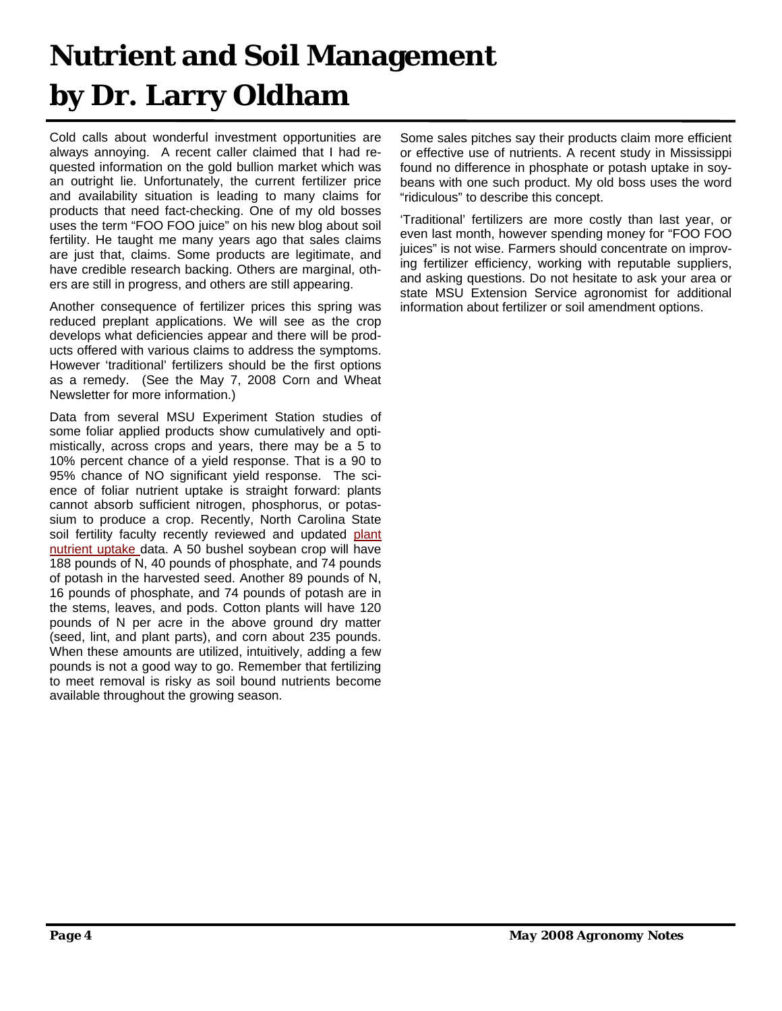## **Nutrient and Soil Management by Dr. Larry Oldham**

Cold calls about wonderful investment opportunities are always annoying. A recent caller claimed that I had requested information on the gold bullion market which was an outright lie. Unfortunately, the current fertilizer price and availability situation is leading to many claims for products that need fact-checking. One of my old bosses uses the term "FOO FOO juice" on his new blog about soil fertility. He taught me many years ago that sales claims are just that, claims. Some products are legitimate, and have credible research backing. Others are marginal, others are still in progress, and others are still appearing.

Another consequence of fertilizer prices this spring was reduced preplant applications. We will see as the crop develops what deficiencies appear and there will be products offered with various claims to address the symptoms. However 'traditional' fertilizers should be the first options as a remedy. (See the May 7, 2008 Corn and Wheat Newsletter for more information.)

Data from several MSU Experiment Station studies of some foliar applied products show cumulatively and optimistically, across crops and years, there may be a 5 to 10% percent chance of a yield response. That is a 90 to 95% chance of NO significant yield response. The science of foliar nutrient uptake is straight forward: plants cannot absorb sufficient nitrogen, phosphorus, or potassium to produce a crop. Recently, North Carolina State soil fertility faculty recently reviewed and updated plant nutrient uptake data. A 50 bushel soybean crop will have 188 pounds of N, 40 pounds of phosphate, and 74 pounds of potash in the harvested seed. Another 89 pounds of N, 16 pounds of phosphate, and 74 pounds of potash are in the stems, leaves, and pods. Cotton plants will have 120 pounds of N per acre in the above ground dry matter (seed, lint, and plant parts), and corn about 235 pounds. When these amounts are utilized, intuitively, adding a few pounds is not a good way to go. Remember that fertilizing to meet removal is risky as soil bound nutrients become available throughout the growing season.

Some sales pitches say their products claim more efficient or effective use of nutrients. A recent study in Mississippi found no difference in phosphate or potash uptake in soybeans with one such product. My old boss uses the word "ridiculous" to describe this concept.

'Traditional' fertilizers are more costly than last year, or even last month, however spending money for "FOO FOO juices" is not wise. Farmers should concentrate on improving fertilizer efficiency, working with reputable suppliers, and asking questions. Do not hesitate to ask your area or state MSU Extension Service agronomist for additional information about fertilizer or soil amendment options.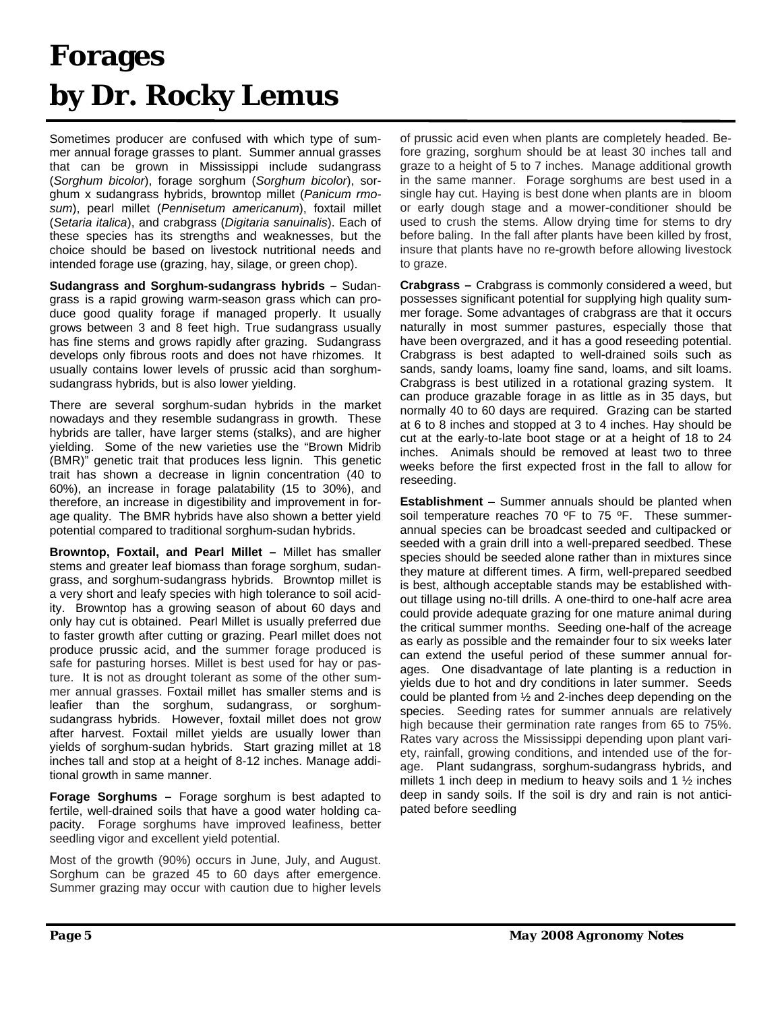### **Forages by Dr. Rocky Lemus**

Sometimes producer are confused with which type of summer annual forage grasses to plant. Summer annual grasses that can be grown in Mississippi include sudangrass (*Sorghum bicolor*), forage sorghum (*Sorghum bicolor*), sorghum x sudangrass hybrids, browntop millet (*Panicum rmosum*), pearl millet (*Pennisetum americanum*), foxtail millet (*Setaria italica*), and crabgrass (*Digitaria sanuinalis*). Each of these species has its strengths and weaknesses, but the choice should be based on livestock nutritional needs and intended forage use (grazing, hay, silage, or green chop).

**Sudangrass and Sorghum-sudangrass hybrids –** Sudangrass is a rapid growing warm-season grass which can produce good quality forage if managed properly. It usually grows between 3 and 8 feet high. True sudangrass usually has fine stems and grows rapidly after grazing. Sudangrass develops only fibrous roots and does not have rhizomes. It usually contains lower levels of prussic acid than sorghumsudangrass hybrids, but is also lower yielding.

There are several sorghum-sudan hybrids in the market nowadays and they resemble sudangrass in growth. These hybrids are taller, have larger stems (stalks), and are higher yielding. Some of the new varieties use the "Brown Midrib (BMR)" genetic trait that produces less lignin. This genetic trait has shown a decrease in lignin concentration (40 to 60%), an increase in forage palatability (15 to 30%), and therefore, an increase in digestibility and improvement in forage quality. The BMR hybrids have also shown a better yield potential compared to traditional sorghum-sudan hybrids.

**Browntop, Foxtail, and Pearl Millet –** Millet has smaller stems and greater leaf biomass than forage sorghum, sudangrass, and sorghum-sudangrass hybrids. Browntop millet is a very short and leafy species with high tolerance to soil acidity. Browntop has a growing season of about 60 days and only hay cut is obtained. Pearl Millet is usually preferred due to faster growth after cutting or grazing. Pearl millet does not produce prussic acid, and the summer forage produced is safe for pasturing horses. Millet is best used for hay or pasture. It is not as drought tolerant as some of the other summer annual grasses. Foxtail millet has smaller stems and is leafier than the sorghum, sudangrass, or sorghumsudangrass hybrids. However, foxtail millet does not grow after harvest. Foxtail millet yields are usually lower than yields of sorghum-sudan hybrids. Start grazing millet at 18 inches tall and stop at a height of 8-12 inches. Manage additional growth in same manner.

**Forage Sorghums –** Forage sorghum is best adapted to fertile, well-drained soils that have a good water holding capacity. Forage sorghums have improved leafiness, better seedling vigor and excellent yield potential.

Most of the growth (90%) occurs in June, July, and August. Sorghum can be grazed 45 to 60 days after emergence. Summer grazing may occur with caution due to higher levels of prussic acid even when plants are completely headed. Before grazing, sorghum should be at least 30 inches tall and graze to a height of 5 to 7 inches. Manage additional growth in the same manner. Forage sorghums are best used in a single hay cut. Haying is best done when plants are in bloom or early dough stage and a mower-conditioner should be used to crush the stems. Allow drying time for stems to dry before baling. In the fall after plants have been killed by frost, insure that plants have no re-growth before allowing livestock to graze.

**Crabgrass –** Crabgrass is commonly considered a weed, but possesses significant potential for supplying high quality summer forage. Some advantages of crabgrass are that it occurs naturally in most summer pastures, especially those that have been overgrazed, and it has a good reseeding potential. Crabgrass is best adapted to well-drained soils such as sands, sandy loams, loamy fine sand, loams, and silt loams. Crabgrass is best utilized in a rotational grazing system. It can produce grazable forage in as little as in 35 days, but normally 40 to 60 days are required. Grazing can be started at 6 to 8 inches and stopped at 3 to 4 inches. Hay should be cut at the early-to-late boot stage or at a height of 18 to 24 inches. Animals should be removed at least two to three weeks before the first expected frost in the fall to allow for reseeding.

**Establishment** – Summer annuals should be planted when soil temperature reaches 70 °F to 75 °F. These summerannual species can be broadcast seeded and cultipacked or seeded with a grain drill into a well-prepared seedbed. These species should be seeded alone rather than in mixtures since they mature at different times. A firm, well-prepared seedbed is best, although acceptable stands may be established without tillage using no-till drills. A one-third to one-half acre area could provide adequate grazing for one mature animal during the critical summer months. Seeding one-half of the acreage as early as possible and the remainder four to six weeks later can extend the useful period of these summer annual forages. One disadvantage of late planting is a reduction in yields due to hot and dry conditions in later summer. Seeds could be planted from ½ and 2-inches deep depending on the species. Seeding rates for summer annuals are relatively high because their germination rate ranges from 65 to 75%. Rates vary across the Mississippi depending upon plant variety, rainfall, growing conditions, and intended use of the forage. Plant sudangrass, sorghum-sudangrass hybrids, and millets 1 inch deep in medium to heavy soils and 1 ½ inches deep in sandy soils. If the soil is dry and rain is not anticipated before seedling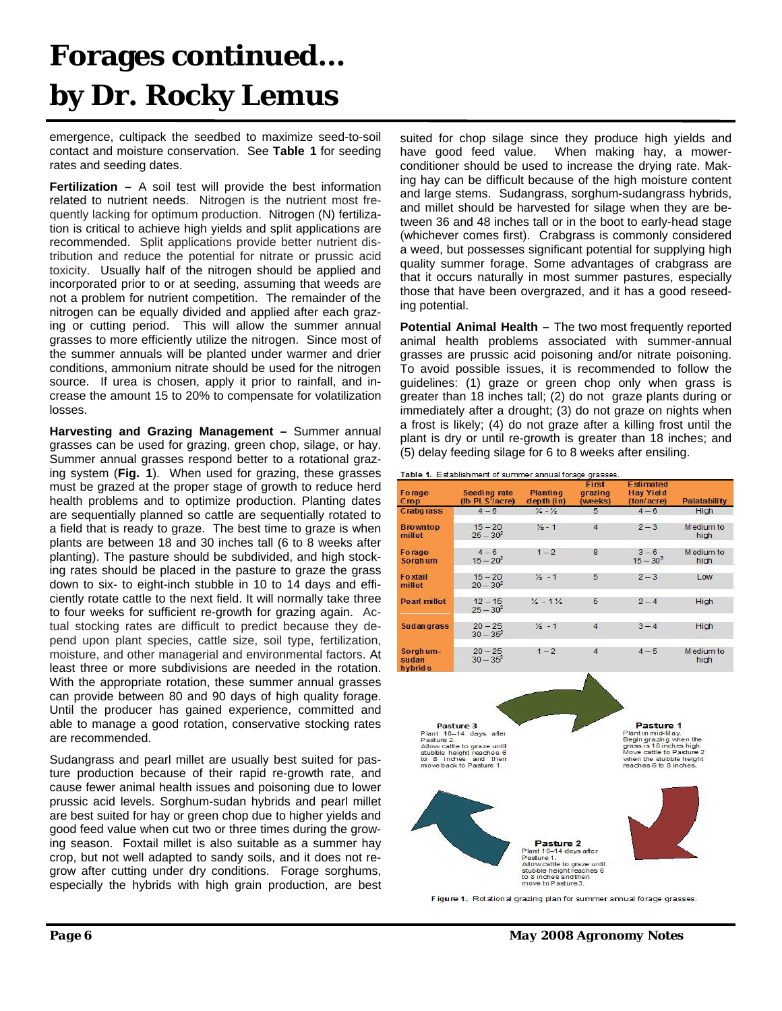#### **Forages continued… by Dr. Rocky Lemus**

emergence, cultipack the seedbed to maximize seed-to-soil contact and moisture conservation. See **Table 1** for seeding rates and seeding dates.

**Fertilization –** A soil test will provide the best information related to nutrient needs. Nitrogen is the nutrient most frequently lacking for optimum production. Nitrogen (N) fertilization is critical to achieve high yields and split applications are recommended. Split applications provide better nutrient distribution and reduce the potential for nitrate or prussic acid toxicity. Usually half of the nitrogen should be applied and incorporated prior to or at seeding, assuming that weeds are not a problem for nutrient competition. The remainder of the nitrogen can be equally divided and applied after each grazing or cutting period. This will allow the summer annual grasses to more efficiently utilize the nitrogen. Since most of the summer annuals will be planted under warmer and drier conditions, ammonium nitrate should be used for the nitrogen source. If urea is chosen, apply it prior to rainfall, and increase the amount 15 to 20% to compensate for volatilization losses.

**Harvesting and Grazing Management –** Summer annual grasses can be used for grazing, green chop, silage, or hay. Summer annual grasses respond better to a rotational grazing system (**Fig. 1**). When used for grazing, these grasses must be grazed at the proper stage of growth to reduce herd health problems and to optimize production. Planting dates are sequentially planned so cattle are sequentially rotated to a field that is ready to graze. The best time to graze is when plants are between 18 and 30 inches tall (6 to 8 weeks after planting). The pasture should be subdivided, and high stocking rates should be placed in the pasture to graze the grass down to six- to eight-inch stubble in 10 to 14 days and efficiently rotate cattle to the next field. It will normally take three to four weeks for sufficient re-growth for grazing again. Actual stocking rates are difficult to predict because they depend upon plant species, cattle size, soil type, fertilization, moisture, and other managerial and environmental factors. At least three or more subdivisions are needed in the rotation. With the appropriate rotation, these summer annual grasses can provide between 80 and 90 days of high quality forage. Until the producer has gained experience, committed and able to manage a good rotation, conservative stocking rates are recommended.

Sudangrass and pearl millet are usually best suited for pasture production because of their rapid re-growth rate, and cause fewer animal health issues and poisoning due to lower prussic acid levels. Sorghum-sudan hybrids and pearl millet are best suited for hay or green chop due to higher yields and good feed value when cut two or three times during the growing season. Foxtail millet is also suitable as a summer hay crop, but not well adapted to sandy soils, and it does not regrow after cutting under dry conditions. Forage sorghums, especially the hybrids with high grain production, are best suited for chop silage since they produce high yields and have good feed value. When making hay, a mowerconditioner should be used to increase the drying rate. Making hay can be difficult because of the high moisture content and large stems. Sudangrass, sorghum-sudangrass hybrids, and millet should be harvested for silage when they are between 36 and 48 inches tall or in the boot to early-head stage (whichever comes first). Crabgrass is commonly considered a weed, but possesses significant potential for supplying high quality summer forage. Some advantages of crabgrass are that it occurs naturally in most summer pastures, especially those that have been overgrazed, and it has a good reseeding potential.

**Potential Animal Health – The two most frequently reported** animal health problems associated with summer-annual grasses are prussic acid poisoning and/or nitrate poisoning. To avoid possible issues, it is recommended to follow the guidelines: (1) graze or green chop only when grass is greater than 18 inches tall; (2) do not graze plants during or immediately after a drought; (3) do not graze on nights when a frost is likely; (4) do not graze after a killing frost until the plant is dry or until re-growth is greater than 18 inches; and (5) delay feeding silage for 6 to 8 weeks after ensiling.



| Forage<br>Crop                           | Seeding rate<br>(Ib PLS <sup>1</sup> /acre) | <b>Planting</b><br>depth (in)   | First<br>grazing<br>(weeks) | <b>Estimated</b><br><b>Hay Yield</b><br>(ton/acre) | <b>Palatability</b> |
|------------------------------------------|---------------------------------------------|---------------------------------|-----------------------------|----------------------------------------------------|---------------------|
| <b>Crabarass</b>                         | $4 - 6$                                     | $\frac{1}{4} - \frac{1}{2}$     | 5                           | $4 - 6$                                            | High                |
| <b>Browntop</b><br>millet                | $15 - 20$<br>$25 - 30^2$                    | $\frac{1}{2}$ - 1               | $\overline{4}$              | $2 - 3$                                            | Medium to<br>high   |
| Forage<br><b>Sorghum</b>                 | $4 - 6$<br>$15 - 20^2$                      | $1 - 2$                         | 8                           | $3 - 6$<br>$15 - 30^{3}$                           | Medium to<br>high   |
| Foxtail<br>millet                        | $15 - 20$<br>$20 - 30^{2}$                  | $\frac{1}{2}$ - 1               | 5                           | $2 - 3$                                            | Low                 |
| <b>Pearl millet</b>                      | $12 - 15$<br>$25 - 30^2$                    | $\frac{1}{2}$ - 1 $\frac{1}{2}$ | 5                           | $2 - 4$                                            | High                |
| <b>Sudangrass</b>                        | $20 - 25$<br>$30 - 35^{2}$                  | $\frac{1}{2}$ - 1               | $\overline{A}$              | $3 - 4$                                            | High                |
| Sorghum-<br>sudan<br>hybrid <sub>s</sub> | $20 - 25$<br>$30 - 35^2$                    | $1 - 2$                         | 4                           | $4 - 5$                                            | Medium to<br>high   |

Pasture 3 Pasture 1 Plant 10-14 days after<br>Plant 10-14 days after<br>Allow catter to graze until<br>stubble height reaches 6<br>to 8 inches and then<br>move back to Pasture 1. **Plant in mid-May.**<br>Begin grazing when the<br>grass is 18 inches high.<br>Move cattle to Pasture 2<br>when the stubble height<br>reaches 6 to 8 inches. Pasture 2 lant 10-14 days afte Pasture 1:<br>Allowcattle to graze until<br>stubble height reaches 6<br>to 8 inches and then<br>move to Pasture 3.

Figure 1. Rotational grazing plan for summer annual forage grasses.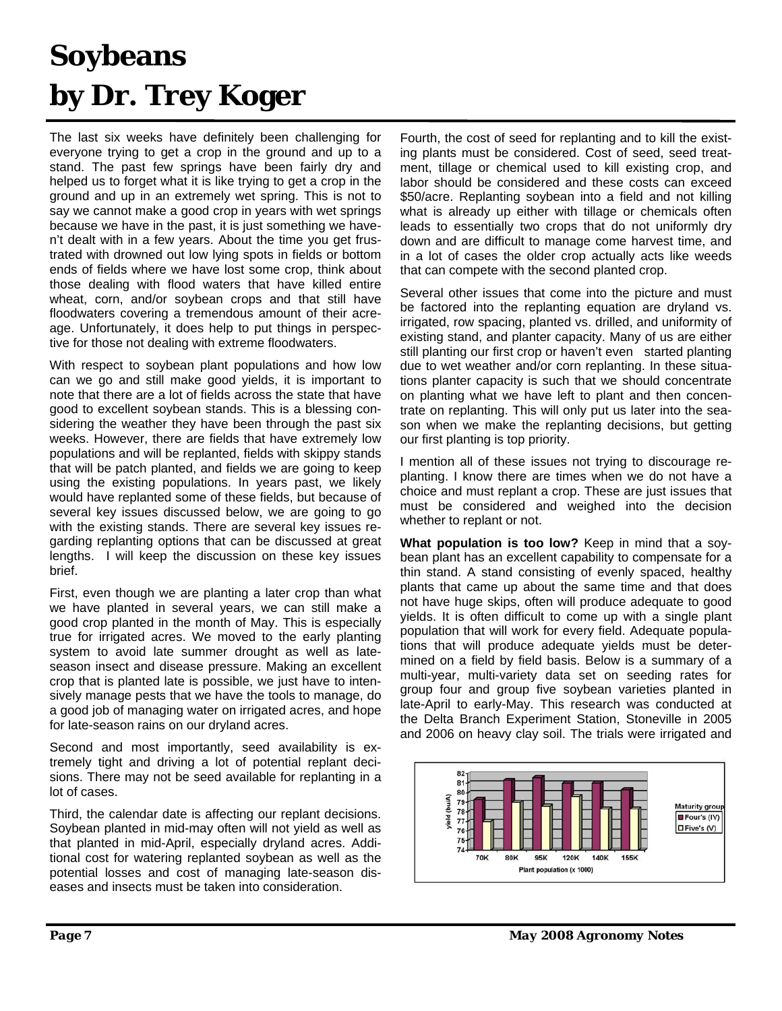## **Soybeans by Dr. Trey Koger**

The last six weeks have definitely been challenging for everyone trying to get a crop in the ground and up to a stand. The past few springs have been fairly dry and helped us to forget what it is like trying to get a crop in the ground and up in an extremely wet spring. This is not to say we cannot make a good crop in years with wet springs because we have in the past, it is just something we haven't dealt with in a few years. About the time you get frustrated with drowned out low lying spots in fields or bottom ends of fields where we have lost some crop, think about those dealing with flood waters that have killed entire wheat, corn, and/or soybean crops and that still have floodwaters covering a tremendous amount of their acreage. Unfortunately, it does help to put things in perspective for those not dealing with extreme floodwaters.

With respect to soybean plant populations and how low can we go and still make good yields, it is important to note that there are a lot of fields across the state that have good to excellent soybean stands. This is a blessing considering the weather they have been through the past six weeks. However, there are fields that have extremely low populations and will be replanted, fields with skippy stands that will be patch planted, and fields we are going to keep using the existing populations. In years past, we likely would have replanted some of these fields, but because of several key issues discussed below, we are going to go with the existing stands. There are several key issues regarding replanting options that can be discussed at great lengths. I will keep the discussion on these key issues brief.

First, even though we are planting a later crop than what we have planted in several years, we can still make a good crop planted in the month of May. This is especially true for irrigated acres. We moved to the early planting system to avoid late summer drought as well as lateseason insect and disease pressure. Making an excellent crop that is planted late is possible, we just have to intensively manage pests that we have the tools to manage, do a good job of managing water on irrigated acres, and hope for late-season rains on our dryland acres.

Second and most importantly, seed availability is extremely tight and driving a lot of potential replant decisions. There may not be seed available for replanting in a lot of cases.

Third, the calendar date is affecting our replant decisions. Soybean planted in mid-may often will not yield as well as that planted in mid-April, especially dryland acres. Additional cost for watering replanted soybean as well as the potential losses and cost of managing late-season diseases and insects must be taken into consideration.

Fourth, the cost of seed for replanting and to kill the existing plants must be considered. Cost of seed, seed treatment, tillage or chemical used to kill existing crop, and labor should be considered and these costs can exceed \$50/acre. Replanting soybean into a field and not killing what is already up either with tillage or chemicals often leads to essentially two crops that do not uniformly dry down and are difficult to manage come harvest time, and in a lot of cases the older crop actually acts like weeds that can compete with the second planted crop.

Several other issues that come into the picture and must be factored into the replanting equation are dryland vs. irrigated, row spacing, planted vs. drilled, and uniformity of existing stand, and planter capacity. Many of us are either still planting our first crop or haven't even started planting due to wet weather and/or corn replanting. In these situations planter capacity is such that we should concentrate on planting what we have left to plant and then concentrate on replanting. This will only put us later into the season when we make the replanting decisions, but getting our first planting is top priority.

I mention all of these issues not trying to discourage replanting. I know there are times when we do not have a choice and must replant a crop. These are just issues that must be considered and weighed into the decision whether to replant or not.

**What population is too low?** Keep in mind that a soybean plant has an excellent capability to compensate for a thin stand. A stand consisting of evenly spaced, healthy plants that came up about the same time and that does not have huge skips, often will produce adequate to good yields. It is often difficult to come up with a single plant population that will work for every field. Adequate populations that will produce adequate yields must be determined on a field by field basis. Below is a summary of a multi-year, multi-variety data set on seeding rates for group four and group five soybean varieties planted in late-April to early-May. This research was conducted at the Delta Branch Experiment Station, Stoneville in 2005 and 2006 on heavy clay soil. The trials were irrigated and

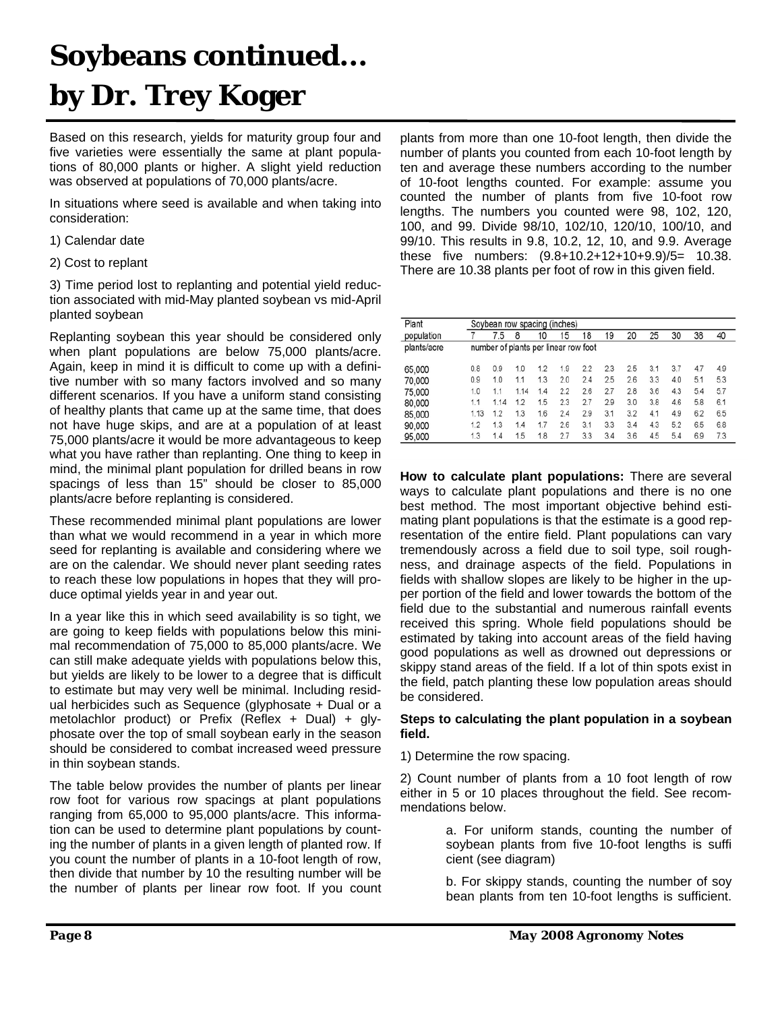## **Soybeans continued... by Dr. Trey Koger**

Based on this research, yields for maturity group four and five varieties were essentially the same at plant populations of 80,000 plants or higher. A slight yield reduction was observed at populations of 70,000 plants/acre.

In situations where seed is available and when taking into consideration:

- 1) Calendar date
- 2) Cost to replant

3) Time period lost to replanting and potential yield reduction associated with mid-May planted soybean vs mid-April planted soybean

Replanting soybean this year should be considered only when plant populations are below 75,000 plants/acre. Again, keep in mind it is difficult to come up with a definitive number with so many factors involved and so many different scenarios. If you have a uniform stand consisting of healthy plants that came up at the same time, that does not have huge skips, and are at a population of at least 75,000 plants/acre it would be more advantageous to keep what you have rather than replanting. One thing to keep in mind, the minimal plant population for drilled beans in row spacings of less than 15" should be closer to 85,000 plants/acre before replanting is considered.

These recommended minimal plant populations are lower than what we would recommend in a year in which more seed for replanting is available and considering where we are on the calendar. We should never plant seeding rates to reach these low populations in hopes that they will produce optimal yields year in and year out.

In a year like this in which seed availability is so tight, we are going to keep fields with populations below this minimal recommendation of 75,000 to 85,000 plants/acre. We can still make adequate yields with populations below this, but yields are likely to be lower to a degree that is difficult to estimate but may very well be minimal. Including residual herbicides such as Sequence (glyphosate + Dual or a metolachlor product) or Prefix (Reflex + Dual) + glyphosate over the top of small soybean early in the season should be considered to combat increased weed pressure in thin soybean stands.

The table below provides the number of plants per linear row foot for various row spacings at plant populations ranging from 65,000 to 95,000 plants/acre. This information can be used to determine plant populations by counting the number of plants in a given length of planted row. If you count the number of plants in a 10-foot length of row, then divide that number by 10 the resulting number will be the number of plants per linear row foot. If you count plants from more than one 10-foot length, then divide the number of plants you counted from each 10-foot length by ten and average these numbers according to the number of 10-foot lengths counted. For example: assume you counted the number of plants from five 10-foot row lengths. The numbers you counted were 98, 102, 120, 100, and 99. Divide 98/10, 102/10, 120/10, 100/10, and 99/10. This results in 9.8, 10.2, 12, 10, and 9.9. Average these five numbers: (9.8+10.2+12+10+9.9)/5= 10.38. There are 10.38 plants per foot of row in this given field.

| Plant       |      |                                      |      |     | Soybean row spacing (inches) |     |     |     |     |     |     |     |
|-------------|------|--------------------------------------|------|-----|------------------------------|-----|-----|-----|-----|-----|-----|-----|
| population  |      | 7.5                                  | 8    | 10  | 15                           | 18  | 19  | 20  | 25  | 30  | 38  | 40  |
| plants/acre |      | number of plants per linear row foot |      |     |                              |     |     |     |     |     |     |     |
| 65,000      | 0.8  | 0.9                                  | 1.0  | 1.2 | 1.9                          | 22  | 2.3 | 2.5 | 3.1 | 3.7 | 4.7 | 4.9 |
| 70,000      | 0.9  | 1.0                                  | 1.1  | 1.3 | 2.0                          | 24  | 25  | 2.6 | 3.3 | 4.0 | 5.1 | 5.3 |
| 75,000      | 1.0  | 1.1                                  | 1.14 | 1.4 | 2.2                          | 26  | 2.7 | 2.8 | 3.6 | 4.3 | 5.4 | 5.7 |
| 80,000      | 1.1  | 1.14                                 | 1.2  | 1.5 | 2.3                          | 2.7 | 29  | 3.0 | 3.8 | 4.6 | 5.8 | 6.1 |
| 85,000      | 1.13 | 1.2                                  | 1.3  | 1.6 | 2.4                          | 2.9 | 3.1 | 3.2 | 4.1 | 4.9 | 6.2 | 6.5 |
| 90,000      | 1.2  | 1.3                                  | 1.4  | 1.7 | 2.6                          | 3.1 | 3.3 | 3.4 | 4.3 | 5.2 | 6.5 | 6.8 |
| 95,000      | 1.3  | 1.4                                  | 1.5  | 1.8 | 2.7                          | 3.3 | 3.4 | 3.6 | 4.5 | 5.4 | 6.9 | 7.3 |

**How to calculate plant populations:** There are several ways to calculate plant populations and there is no one best method. The most important objective behind estimating plant populations is that the estimate is a good representation of the entire field. Plant populations can vary tremendously across a field due to soil type, soil roughness, and drainage aspects of the field. Populations in fields with shallow slopes are likely to be higher in the upper portion of the field and lower towards the bottom of the field due to the substantial and numerous rainfall events received this spring. Whole field populations should be estimated by taking into account areas of the field having good populations as well as drowned out depressions or skippy stand areas of the field. If a lot of thin spots exist in the field, patch planting these low population areas should be considered.

#### **Steps to calculating the plant population in a soybean field.**

1) Determine the row spacing.

2) Count number of plants from a 10 foot length of row either in 5 or 10 places throughout the field. See recommendations below.

> a. For uniform stands, counting the number of soybean plants from five 10-foot lengths is suffi cient (see diagram)

> b. For skippy stands, counting the number of soy bean plants from ten 10-foot lengths is sufficient.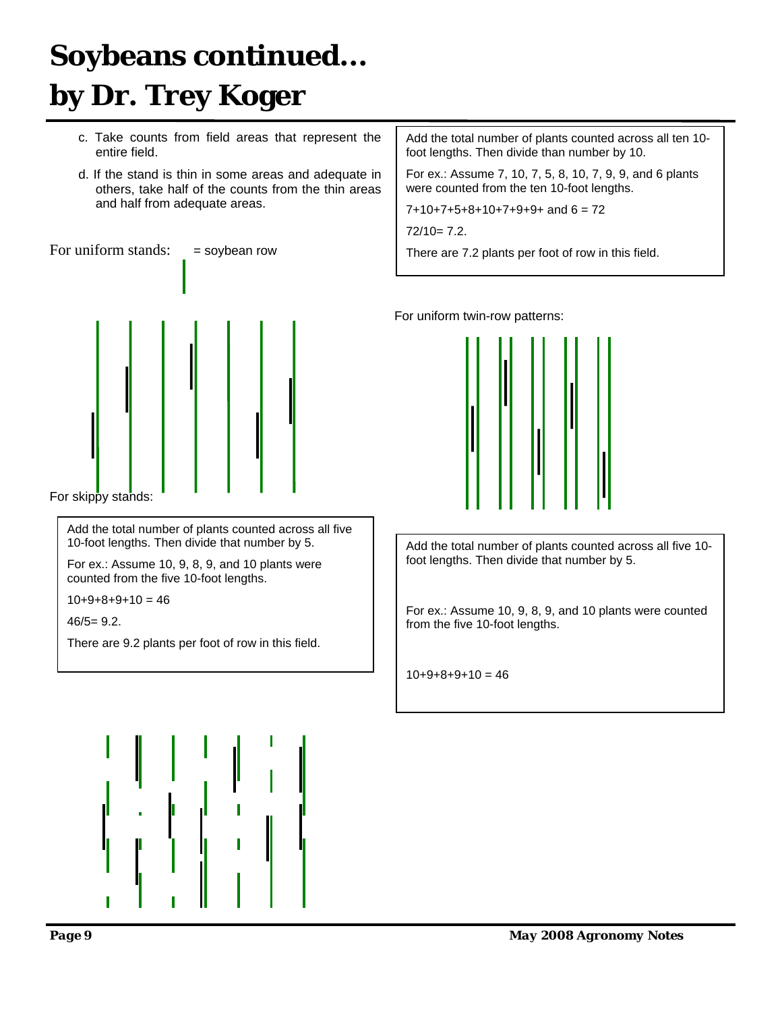## **Soybeans continued... by Dr. Trey Koger**

- c. Take counts from field areas that represent the entire field.
- d. If the stand is thin in some areas and adequate in others, take half of the counts from the thin areas and half from adequate areas.





For skippy stands:

Add the total number of plants counted across all five 10-foot lengths. Then divide that number by 5.

For ex.: Assume 10, 9, 8, 9, and 10 plants were counted from the five 10-foot lengths.

 $10+9+8+9+10=46$ 

 $46/5=9.2$ .

There are 9.2 plants per foot of row in this field.

Add the total number of plants counted across all ten 10 foot lengths. Then divide than number by 10.

For ex.: Assume 7, 10, 7, 5, 8, 10, 7, 9, 9, and 6 plants were counted from the ten 10-foot lengths.

 $7+10+7+5+8+10+7+9+9+$  and  $6 = 72$ 

 $72/10= 7.2.$ 

 $\overline{\phantom{a}}$ 

There are 7.2 plants per foot of row in this field.

For uniform twin-row patterns:



Add the total number of plants counted across all five 10 foot lengths. Then divide that number by 5.

For ex.: Assume 10, 9, 8, 9, and 10 plants were counted from the five 10-foot lengths.

 $10+9+8+9+10 = 46$ 

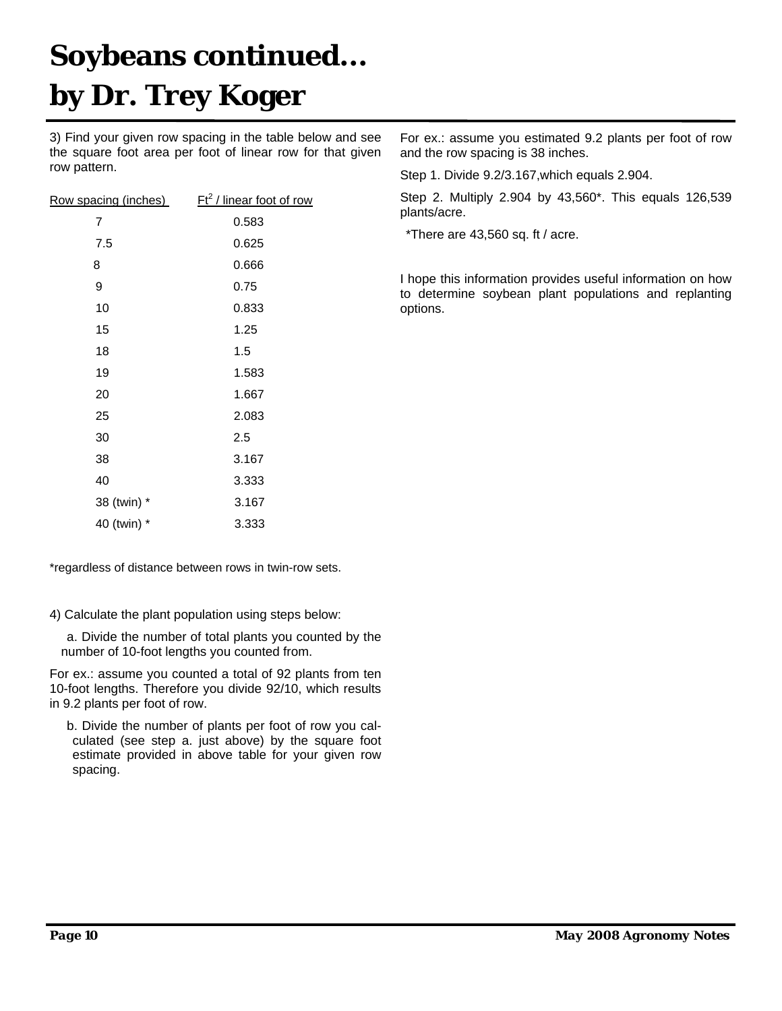## **Soybeans continued... by Dr. Trey Koger**

3) Find your given row spacing in the table below and see the square foot area per foot of linear row for that given row pattern.

| Row spacing (inches) | $Ft^2$ / linear foot of row |
|----------------------|-----------------------------|
| 7                    | 0.583                       |
| 7.5                  | 0.625                       |
| 8                    | 0.666                       |
| 9                    | 0.75                        |
| 10                   | 0.833                       |
| 15                   | 1.25                        |
| 18                   | 1.5                         |
| 19                   | 1.583                       |
| 20                   | 1.667                       |
| 25                   | 2.083                       |
| 30                   | 2.5                         |
| 38                   | 3.167                       |
| 40                   | 3.333                       |
| 38 (twin) *          | 3.167                       |
| 40 (twin) *          | 3.333                       |

\*regardless of distance between rows in twin-row sets.

4) Calculate the plant population using steps below:

a. Divide the number of total plants you counted by the number of 10-foot lengths you counted from.

For ex.: assume you counted a total of 92 plants from ten 10-foot lengths. Therefore you divide 92/10, which results in 9.2 plants per foot of row.

b. Divide the number of plants per foot of row you calculated (see step a. just above) by the square foot estimate provided in above table for your given row spacing.

For ex.: assume you estimated 9.2 plants per foot of row and the row spacing is 38 inches.

Step 1. Divide 9.2/3.167,which equals 2.904.

Step 2. Multiply 2.904 by 43,560\*. This equals 126,539 plants/acre.

\*There are 43,560 sq. ft / acre.

I hope this information provides useful information on how to determine soybean plant populations and replanting options.